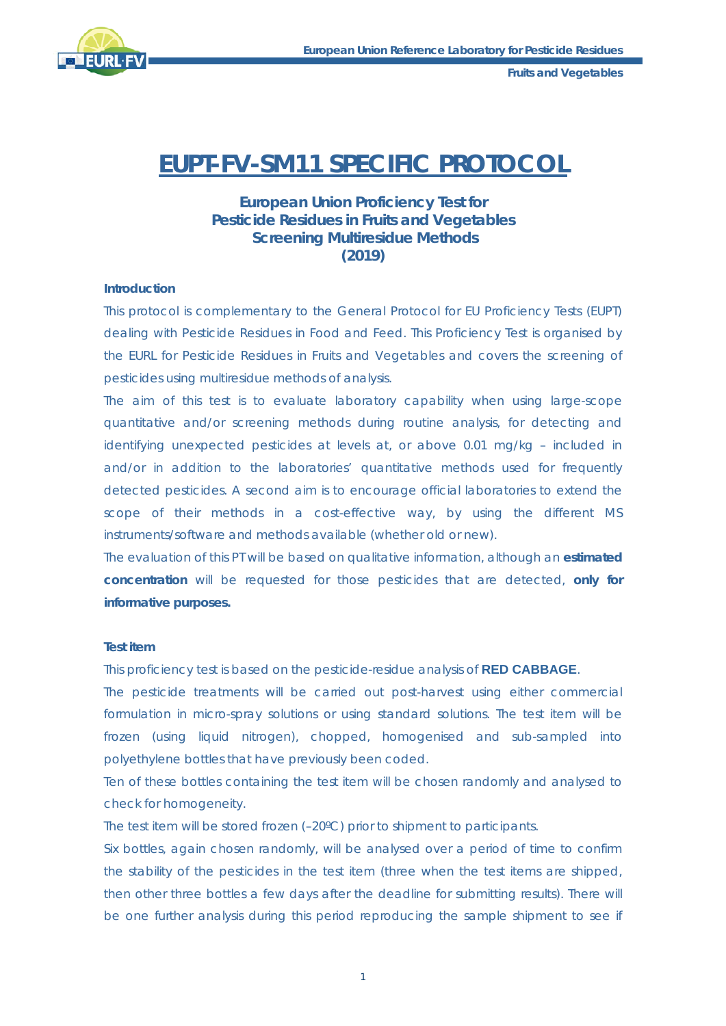

**Fruits and Vegetables** 

# **EUPT-FV-SM11 SPECIFIC PROTOCOL**

# **European Union Proficiency Test for Pesticide Residues in Fruits and Vegetables Screening Multiresidue Methods (2019)**

#### **Introduction**

This protocol is complementary to the General Protocol for EU Proficiency Tests (EUPT) dealing with Pesticide Residues in Food and Feed. This Proficiency Test is organised by the EURL for Pesticide Residues in Fruits and Vegetables and covers the screening of pesticides using multiresidue methods of analysis.

The aim of this test is to evaluate laboratory capability when using large-scope quantitative and/or screening methods during routine analysis, for detecting and identifying unexpected pesticides at levels at, or above 0.01 mg/kg – included in and/or in addition to the laboratories' quantitative methods used for frequently detected pesticides. A second aim is to encourage official laboratories to extend the scope of their methods in a cost-effective way, by using the different MS instruments/software and methods available (whether old or new).

The evaluation of this PT will be based on qualitative information, although an **estimated concentration** will be requested for those pesticides that are detected, **only for informative purposes.** 

# **Test item**

This proficiency test is based on the pesticide-residue analysis of **RED CABBAGE**.

The pesticide treatments will be carried out post-harvest using either commercial formulation in micro-spray solutions or using standard solutions. The test item will be frozen (using liquid nitrogen), chopped, homogenised and sub-sampled into polyethylene bottles that have previously been coded.

Ten of these bottles containing the test item will be chosen randomly and analysed to check for homogeneity.

The test item will be stored frozen (–20ºC) prior to shipment to participants.

Six bottles, again chosen randomly, will be analysed over a period of time to confirm the stability of the pesticides in the test item (three when the test items are shipped, then other three bottles a few days after the deadline for submitting results). There will be one further analysis during this period reproducing the sample shipment to see if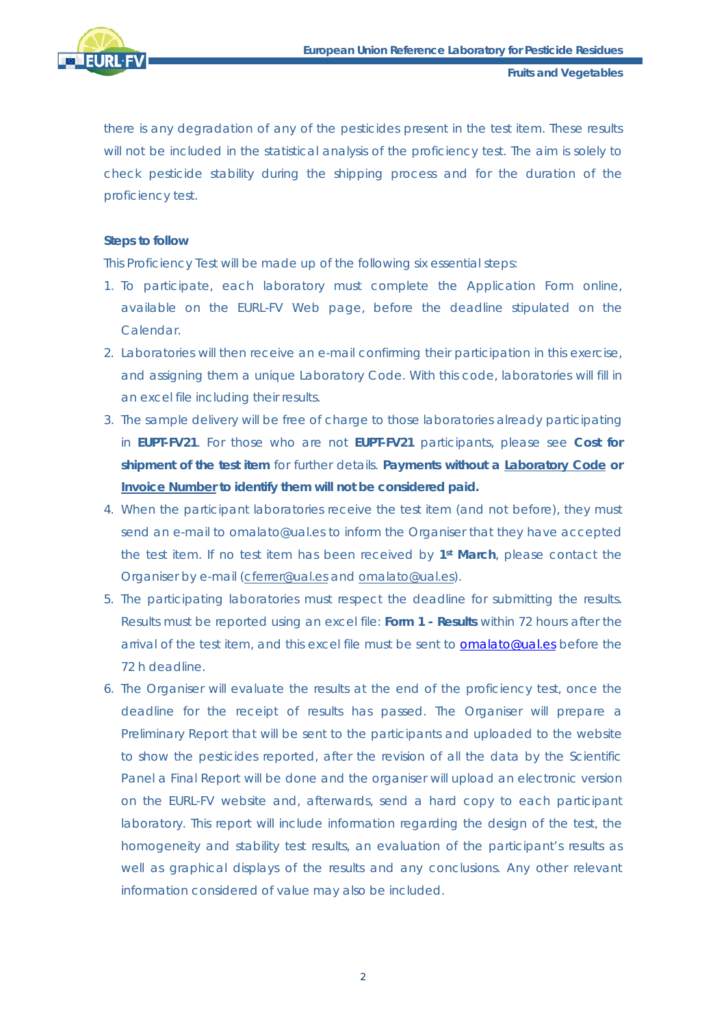

**Fruits and Vegetables** 

there is any degradation of any of the pesticides present in the test item. These results will not be included in the statistical analysis of the proficiency test. The aim is solely to check pesticide stability during the shipping process and for the duration of the proficiency test.

## **Steps to follow**

This Proficiency Test will be made up of the following six essential steps:

- 1. To participate, each laboratory must complete the Application Form online, available on the EURL-FV Web page, before the deadline stipulated on the Calendar.
- 2. Laboratories will then receive an e-mail confirming their participation in this exercise, and assigning them a unique Laboratory Code. With this code, laboratories will fill in an excel file including their results.
- 3. The sample delivery will be free of charge to those laboratories already participating in **EUPT-FV21**. For those who are not **EUPT-FV21** participants, please see **Cost for shipment of the test item** for further details. **Payments without a Laboratory Code or Invoice Number to identify them will not be considered paid.**
- 4. When the participant laboratories receive the test item (and not before), they must send an e-mail to omalato@ual.es to inform the Organiser that they have accepted the test item. If no test item has been received by **1st March**, please contact the Organiser by e-mail (cferrer@ual.es and omalato@ual.es).
- 5. The participating laboratories must respect the deadline for submitting the results. Results must be reported using an excel file: **Form 1 - Results** within 72 hours after the arrival of the test item, and this excel file must be sent to **omalato@ual.es** before the 72 h deadline.
- 6. The Organiser will evaluate the results at the end of the proficiency test, once the deadline for the receipt of results has passed. The Organiser will prepare a Preliminary Report that will be sent to the participants and uploaded to the website to show the pesticides reported, after the revision of all the data by the Scientific Panel a Final Report will be done and the organiser will upload an electronic version on the EURL-FV website and, afterwards, send a hard copy to each participant laboratory. This report will include information regarding the design of the test, the homogeneity and stability test results, an evaluation of the participant's results as well as graphical displays of the results and any conclusions. Any other relevant information considered of value may also be included.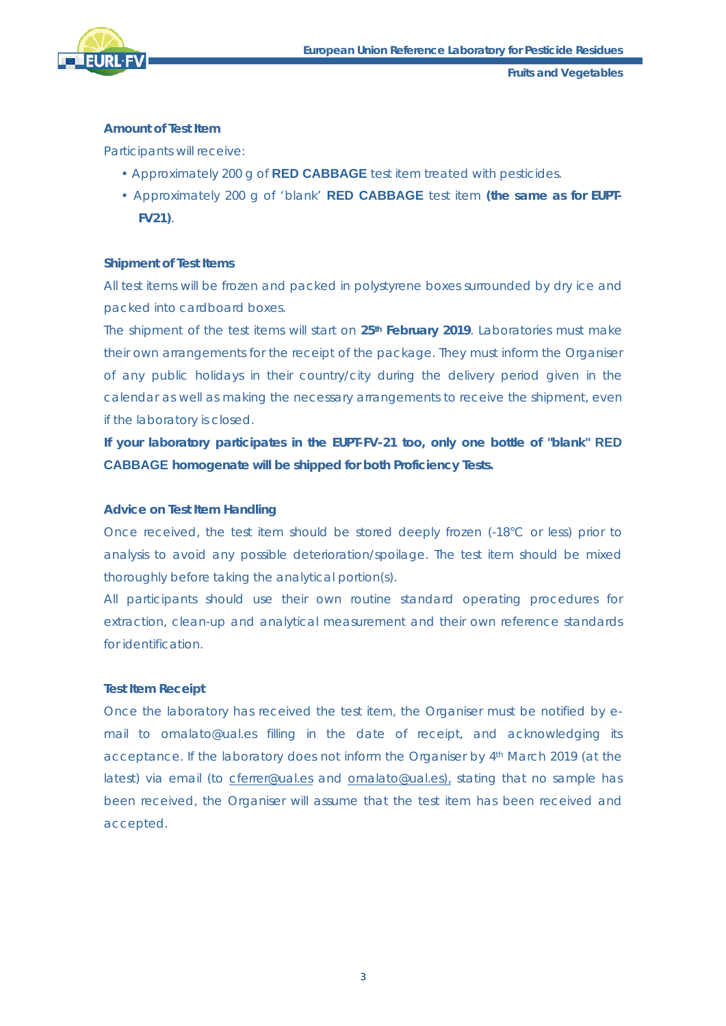

# **Amount of Test Item**

Participants will receive:

- Approximately 200 g of **RED CABBAGE** test item treated with pesticides.
- Approximately 200 g of 'blank' **RED CABBAGE** test item **(the same as for EUPT-FV21)**.

# **Shipment of Test Items**

All test items will be frozen and packed in polystyrene boxes surrounded by dry ice and packed into cardboard boxes.

The shipment of the test items will start on **25th February 2019**. Laboratories must make their own arrangements for the receipt of the package. They must inform the Organiser of any public holidays in their country/city during the delivery period given in the calendar as well as making the necessary arrangements to receive the shipment, even if the laboratory is closed.

**If your laboratory participates in the EUPT-FV-21 too, only one bottle of "blank" RED CABBAGE homogenate will be shipped for both Proficiency Tests.**

#### **Advice on Test Item Handling**

Once received, the test item should be stored deeply frozen (-18°C or less) prior to analysis to avoid any possible deterioration/spoilage. The test item should be mixed thoroughly before taking the analytical portion(s).

All participants should use their own routine standard operating procedures for extraction, clean-up and analytical measurement and their own reference standards for identification.

# **Test Item Receipt**

Once the laboratory has received the test item, the Organiser must be notified by email to omalato@ual.es filling in the date of receipt, and acknowledging its acceptance. If the laboratory does not inform the Organiser by 4<sup>th</sup> March 2019 (at the latest) via email (to cferrer@ual.es and omalato@ual.es), stating that no sample has been received, the Organiser will assume that the test item has been received and accepted.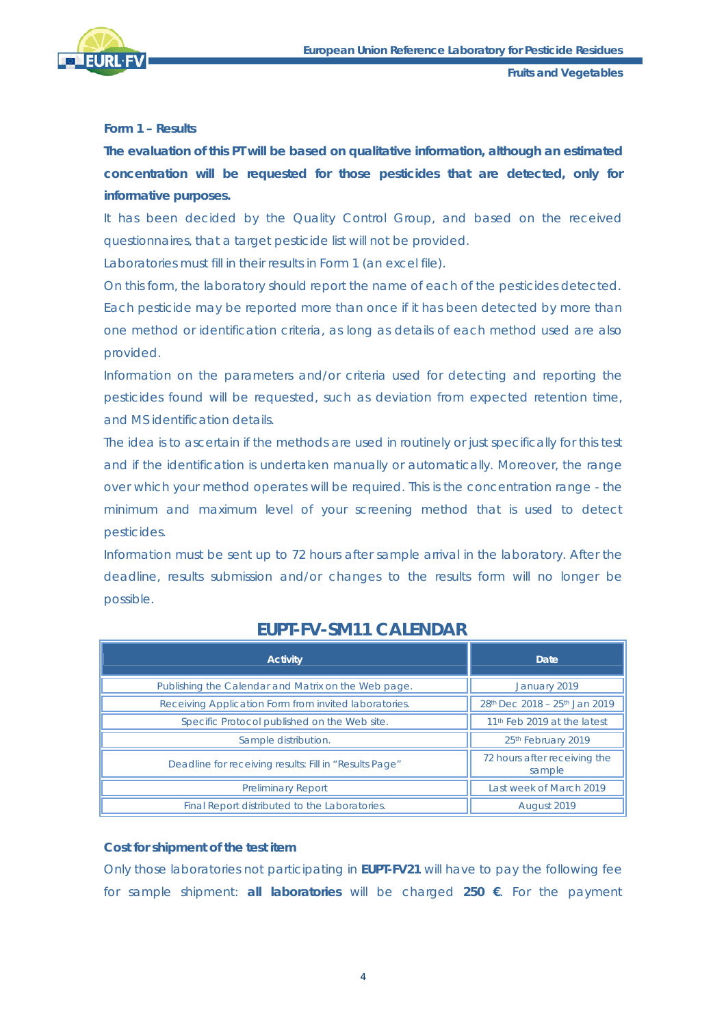

# **Form 1 – Results**

**The evaluation of this PT will be based on qualitative information, although an estimated concentration will be requested for those pesticides that are detected, only for informative purposes.** 

It has been decided by the Quality Control Group, and based on the received questionnaires, that a target pesticide list will not be provided.

Laboratories must fill in their results in Form 1 (an excel file).

On this form, the laboratory should report the name of each of the pesticides detected. Each pesticide may be reported more than once if it has been detected by more than one method or identification criteria, as long as details of each method used are also provided.

Information on the parameters and/or criteria used for detecting and reporting the pesticides found will be requested, such as deviation from expected retention time, and MS identification details.

The idea is to ascertain if the methods are used in routinely or just specifically for this test and if the identification is undertaken manually or automatically. Moreover, the range over which your method operates will be required. This is the concentration range - the minimum and maximum level of your screening method that is used to detect pesticides.

Information must be sent up to 72 hours after sample arrival in the laboratory. After the deadline, results submission and/or changes to the results form will no longer be possible.

|--|

| <b>Activity</b>                                        | Date.                                   |  |
|--------------------------------------------------------|-----------------------------------------|--|
| Publishing the Calendar and Matrix on the Web page.    | January 2019                            |  |
| Receiving Application Form from invited laboratories.  | 28th Dec 2018 - 25th Jan 2019           |  |
| Specific Protocol published on the Web site.           | 11 <sup>th</sup> Feb 2019 at the latest |  |
| Sample distribution.                                   | 25th February 2019                      |  |
| Deadline for receiving results: Fill in "Results Page" | 72 hours after receiving the<br>sample  |  |
| <b>Preliminary Report</b>                              | Last week of March 2019                 |  |
| Final Report distributed to the Laboratories.          | August 2019                             |  |

# **Cost for shipment of the test item**

Only those laboratories not participating in **EUPT-FV21** will have to pay the following fee for sample shipment: **all laboratories** will be charged **250 €**. For the payment